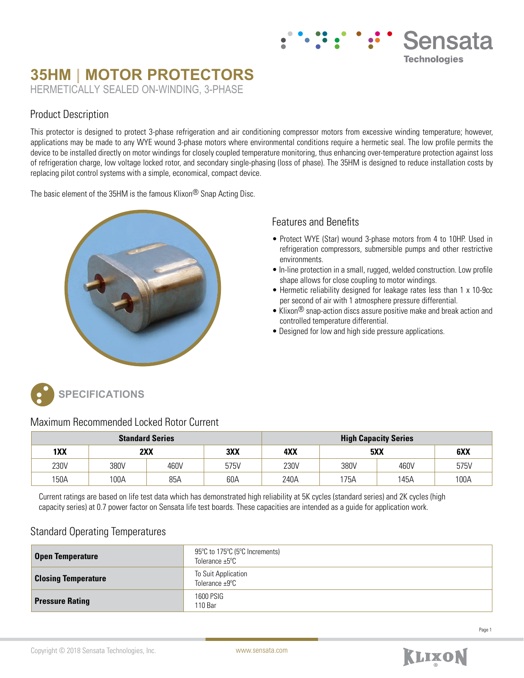# **35HM | MOTOR PROTECTORS** HERMETICALLY SEALED ON-WINDING, 3-PHASE

### Product Description

This protector is designed to protect 3-phase refrigeration and air conditioning compressor motors from excessive winding temperature; however, applications may be made to any WYE wound 3-phase motors where environmental conditions require a hermetic seal. The low profile permits the device to be installed directly on motor windings for closely coupled temperature monitoring, thus enhancing over-temperature protection against loss of refrigeration charge, low voltage locked rotor, and secondary single-phasing (loss of phase). The 35HM is designed to reduce installation costs by replacing pilot control systems with a simple, economical, compact device.

The basic element of the 35HM is the famous Klixon® Snap Acting Disc.



#### Features and Benefits

• Protect WYE (Star) wound 3-phase motors from 4 to 10HP. Used in refrigeration compressors, submersible pumps and other restrictive environments.

Sensata

**Technologies** 

- In-line protection in a small, rugged, welded construction. Low profile shape allows for close coupling to motor windings.
- Hermetic reliability designed for leakage rates less than 1 x 10-9cc per second of air with 1 atmosphere pressure differential.
- Klixon® snap-action discs assure positive make and break action and controlled temperature differential.
- Designed for low and high side pressure applications.



#### Maximum Recommended Locked Rotor Current

| <b>Standard Series</b> |      |      | <b>High Capacity Series</b> |      |      |      |      |
|------------------------|------|------|-----------------------------|------|------|------|------|
| 1XX                    |      | 2XX  | 3XX                         | 4XX  | 5XX  |      | 6XX  |
| 230V                   | 380V | 460V | 575V                        | 230V | 380V | 460V | 575V |
| 150A                   | 100A | 85A  | 60A                         | 240A | 175A | 145A | 100A |

Current ratings are based on life test data which has demonstrated high reliability at 5K cycles (standard series) and 2K cycles (high capacity series) at 0.7 power factor on Sensata life test boards. These capacities are intended as a guide for application work.

## Standard Operating Temperatures

| <b>Open Temperature</b>    | 95°C to 175°C (5°C Increments)<br>Tolerance $\pm 5^{\circ}$ C |
|----------------------------|---------------------------------------------------------------|
| <b>Closing Temperature</b> | To Suit Application<br>Tolerance $\pm 9^{\circ}$ C            |
| <b>Pressure Rating</b>     | 1600 PSIG<br>110 Bar                                          |

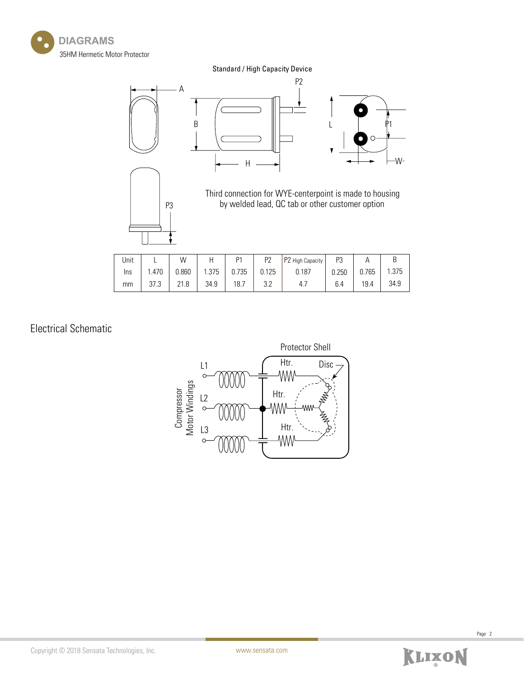

Standard / High Capacity Device



| Unit |       | W     |       | D <sub>1</sub> | P <sub>2</sub> | P2 High Capacity | P3    |       | ◡     |
|------|-------|-------|-------|----------------|----------------|------------------|-------|-------|-------|
| Ins  | l.470 | 0.860 | 1.375 | 0.735          | 0.125          | 0.187            | 0.250 | 0.765 | 1.375 |
| mm   | 37.3  | 21.8  | 34.9  | 18.7           | ה ה<br>ے.ت     | 4.,              | 6.4   | 19.4  | 34.9  |

Electrical Schematic



Page 2